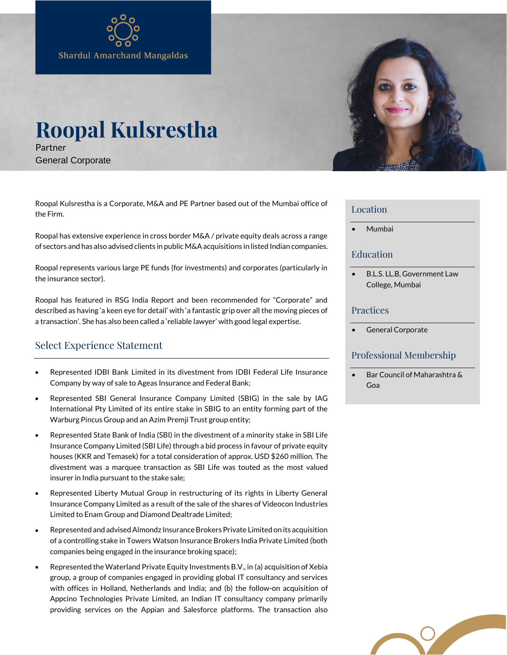# **Roopal Kulsrestha** Partner

General Corporate

Roopal Kulsrestha is a Corporate, M&A and PE Partner based out of the Mumbai office of the Firm.

Roopal has extensive experience in cross border M&A / private equity deals across a range of sectors and has also advised clients in public M&A acquisitions in listed Indian companies.

Roopal represents various large PE funds (for investments) and corporates (particularly in the insurance sector).

Roopal has featured in RSG India Report and been recommended for "Corporate" and described as having 'a keen eye for detail' with 'a fantastic grip over all the moving pieces of a transaction'. She has also been called a 'reliable lawyer' with good legal expertise.

## Select Experience Statement

- Represented IDBI Bank Limited in its divestment from IDBI Federal Life Insurance Company by way of sale to Ageas Insurance and Federal Bank;
- Represented SBI General Insurance Company Limited (SBIG) in the sale by IAG International Pty Limited of its entire stake in SBIG to an entity forming part of the Warburg Pincus Group and an Azim Premji Trust group entity;
- Represented State Bank of India (SBI) in the divestment of a minority stake in SBI Life Insurance Company Limited (SBI Life) through a bid process in favour of private equity houses (KKR and Temasek) for a total consideration of approx. USD \$260 million. The divestment was a marquee transaction as SBI Life was touted as the most valued insurer in India pursuant to the stake sale;
- Represented Liberty Mutual Group in restructuring of its rights in Liberty General Insurance Company Limited as a result of the sale of the shares of Videocon Industries Limited to Enam Group and Diamond Dealtrade Limited;
- Represented and advised Almondz Insurance Brokers Private Limited on its acquisition of a controlling stake in Towers Watson Insurance Brokers India Private Limited (both companies being engaged in the insurance broking space);
- Represented the Waterland Private Equity Investments B.V., in (a) acquisition of Xebia group, a group of companies engaged in providing global IT consultancy and services with offices in Holland, Netherlands and India; and (b) the follow-on acquisition of Appcino Technologies Private Limited, an Indian IT consultancy company primarily providing services on the Appian and Salesforce platforms. The transaction also



#### Location

• Mumbai

#### Education

• B.L.S. LL.B, Government Law College, Mumbai

#### Practices

General Corporate

### Professional Membership

• Bar Council of Maharashtra & Goa